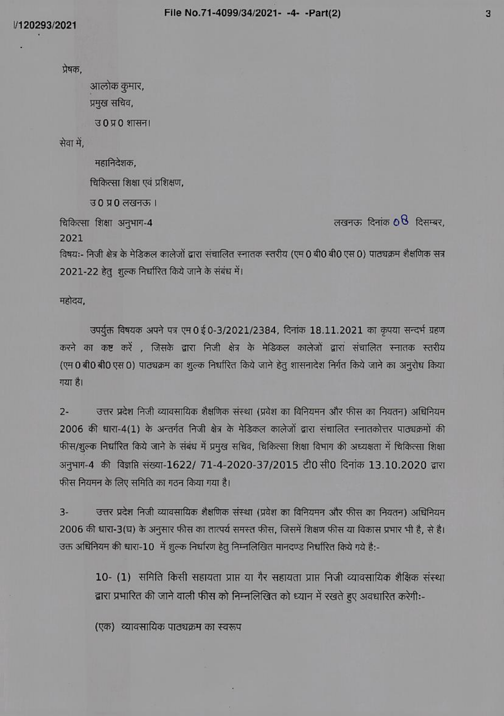प्रेषक.

आलोक कुमार, प्रमुख सचिव,

उ0प्र0 शासन।

सेवा में,

महानिदेशक,

चिकित्सा शिक्षा एवं प्रशिक्षण,

उ0 प्र0 लखनऊ ।

चिकित्सा शिक्षा अनुभाग-4

लखनऊ दिनांक  $68$  दिसम्बर.

2021

विषयः- निजी क्षेत्र के मेडिकल कालेजों द्वारा संचालित स्नातक स्तरीय (एम 0 बी0 बी0 एस 0) पाठ्यक्रम शैक्षणिक सन्न 2021-22 हेतु शुल्क निर्धारित किये जाने के संबंध में।

महोदय,

उपर्युक्त विषयक अपने पत्र एम 0 ई 0-3/2021/2384, दिनांक 18.11.2021 का कृपया सन्दर्भ ग्रहण करने का कष्ट करें , जिसके द्वारा निजी क्षेत्र के मेडिकल कालेजों द्वारा संचालित स्नातक स्तरीय (एम 0 बी0 बी0 एस 0) पाठ्यक्रम का शुल्क निर्धारित किये जाने हेतु शासनादेश निर्गत किये जाने का अनुरोध किया गया है।

उत्तर प्रदेश निजी व्यावसायिक शैक्षणिक संस्था (प्रवेश का विनियमन और फीस का नियतन) अधिनियम  $2 -$ 2006 की धारा-4(1) के अन्तर्गत निजी क्षेत्र के मेडिकल कालेजों द्वारा संचालित स्नातकोत्तर पाठ्यक्रमों की फीस/शुल्क निर्धारित किये जाने के संबंध में प्रमुख सचिव, चिकित्सा शिक्षा विभाग की अध्यक्षता में चिकित्सा शिक्षा अनुभाग-4 की विज्ञप्ति संख्या-1622/ 71-4-2020-37/2015 टी0 सी0 दिनांक 13.10.2020 द्वारा फीस नियमन के लिए समिति का गठन किया गया है।

 $3-$ उत्तर प्रदेश निजी व्यावसायिक शैक्षणिक संस्था (प्रवेश का विनियमन और फीस का नियतन) अधिनियम 2006 की धारा-3(घ) के अनुसार फीस का तात्पर्य समस्त फीस, जिसमें शिक्षण फीस या विकास प्रभार भी है, से है। उक्त अधिनियम की धारा-10 में शुल्क निर्धारण हेतु निम्नलिखित मानदण्ड निर्धारित किये गये है:-

10- (1) समिति किसी सहायता प्राप्त या गैर सहायता प्राप्त निजी व्यावसायिक शैक्षिक संस्था द्वारा प्रभारित की जाने वाली फीस को निम्नलिखित को ध्यान में रखते हुए अवधारित करेगी:-

(एक) व्यावसायिक पाठ्यक्रम का स्वरूप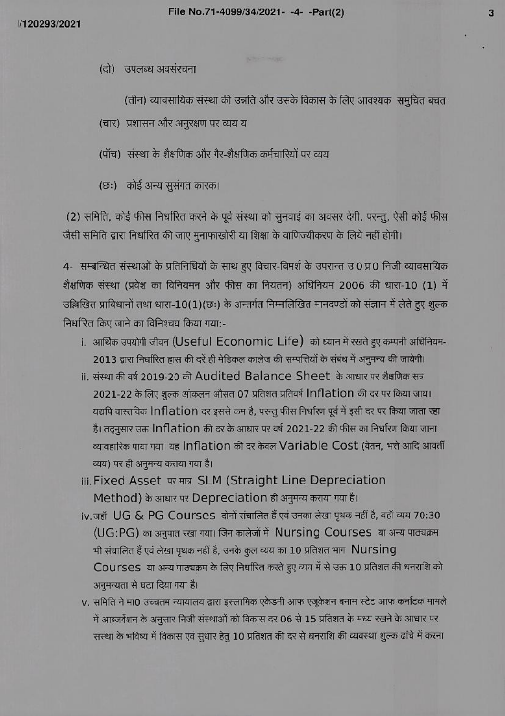(दो) उपलब्ध अवसंरचना

(तीन) व्यावसायिक संस्था की उन्नति और उसके विकास के लिए आवश्यक समुचित बचत

(चार) प्रशासन और अनुरक्षण पर व्यय य

(पॉच) संस्था के शैक्षणिक और गैर-शैक्षणिक कर्मचारियों पर व्यय

(छः) कोई अन्य सुसंगत कारक।

(2) समिति, कोई फीस निर्धारित करने के पूर्व संस्था को सुनवाई का अवसर देगी, परन्तु, ऐसी कोई फीस जैसी समिति द्वारा निर्धारित की जाए मुनाफाखोरी या शिक्षा के वाणिज्यीकरण के लिये नहीं होगी।

4- सम्बन्धित संस्थाओं के प्रतिनिधियों के साथ हुए विचार-विमर्श के उपरान्त उ0 प्र0 निजी व्यावसायिक शैक्षणिक संस्था (प्रवेश का विनियमन और फीस का नियतन) अधिनियम 2006 की धारा-10 (1) में उल्लिखित प्राविधानों तथा धारा-10(1)(छः) के अन्तर्गत निम्नलिखित मानदण्डों को संज्ञान में लेते हुए शुल्क निर्धारित किए जाने का विनिश्चय किया गया:-

- i. आर्थिक उपयोगी जीवन (Useful Economic Life) को ध्यान में रखते हुए कम्पनी अधिनियम-2013 द्वारा निर्धारित हास की दरें ही मेडिकल कालेज की सम्पत्तियों के संबंध में अनुमन्य की जायेगी।
- ii. संस्था की वर्ष 2019-20 की Audited Balance Sheet के आधार पर शैक्षणिक सत्र 2021-22 के लिए शुल्क आंकलन औसत 07 प्रतिशत प्रतिवर्ष Inflation की दर पर किया जाय। यद्यपि वास्तविक Inflation दर इससे कम है, परन्तु फीस निर्धारण पूर्व में इसी दर पर किया जाता रहा है। तद्नुसार उक्त Inflation की दर के आधार पर वर्ष 2021-22 की फीस का निर्धारण किया जाना व्यावहारिक पाया गया। यह Inflation की दर केवल Variable Cost (वेतन, भत्ते आदि आवर्ती व्यय) पर ही अनुमन्य कराया गया है।
- iii. Fixed Asset पर मात्र SLM (Straight Line Depreciation Method) के आधार पर Depreciation ही अनुमन्य कराया गया है।
- iv.जहॉ UG & PG Courses दोनों संचालित हैं एवं उनका लेखा पृथक नहीं है, वहॉ व्यय 70:30 (UG:PG) का अनुपात रखा गया। जिन कालेजों में Nursing Courses या अन्य पाठ्यक्रम भी संचालित हैं एवं लेखा पृथक नहीं है, उनके कुल व्यय का 10 प्रतिशत भाग Nursing Courses या अन्य पाठ्यक्रम के लिए निर्धारित करते हुए व्यय में से उक्त 10 प्रतिशत की धनराशि को अनुमन्यता से घटा दिया गया है।
- v. समिति ने मा0 उच्चतम न्यायालय द्वारा इस्लामिक एकेडमी आफ एजूकेशन बनाम स्टेट आफ कर्नाटक मामले में आब्जर्वेशन के अनुसार निजी संस्थाओं को विकास दर 06 से 15 प्रतिशत के मध्य रखने के आधार पर संस्था के भविष्य में विकास एवं सुधार हेतु 10 प्रतिशत की दर से धनराशि की व्यवस्था शुल्क ढांचे में करना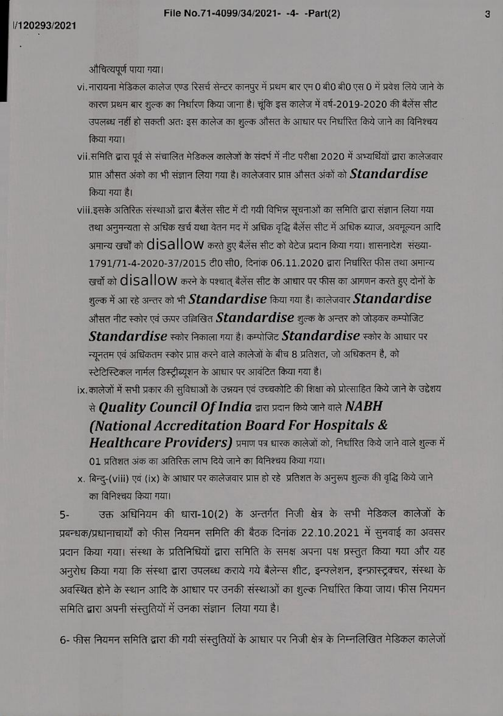औचित्यपूर्ण पाया गया।

- vi. नारायना मेडिकल कालेज एण्ड रिसर्च सेन्टर कानपुर में प्रथम बार एम 0 बी0 बी0 एस 0 में प्रवेश लिये जाने के कारण प्रथम बार शुल्क का निर्धारण किया जाना है। चूंकि इस कालेज में वर्ष-2019-2020 की बैलेंस सीट उपलब्ध नहीं हो सकती अतः इस कालेज का शुल्क औसत के आधार पर निर्धारित किये जाने का विनिश्चय किया गया।
- vii.समिति द्वारा पूर्व से संचालित मेडिकल कालेजों के संदर्भ में नीट परीक्षा 2020 में अभ्यर्थियों द्वारा कालेजवार प्राप्त औसत अंको का भी संज्ञान लिया गया है। कालेजवार प्राप्त औसत अंकों को  $\it Standardise$ किया गया है।
- viii.इसके अतिरिक्त संस्थाओं द्वारा बैलेंस सीट में दी गयी विभिन्न सूचनाओं का समिति द्वारा संज्ञान लिया गया तथा अनुमन्यता से अधिक खर्च यथा वेतन मद में अधिक वृद्धि बैलेंस सीट में अधिक ब्याज, अवमूल्यन आदि अमान्य खर्चों को disallow करते हुए बैलेंस सीट को वेटेज प्रदान किया गया। शासनादेश संख्या-1791/71-4-2020-37/2015 टी0 सी0, दिनांक 06.11.2020 द्वारा निर्धारित फीस तथा अमान्य खर्चों को  $\sf{disallow}$  करने के पश्चात् बैलेंस सीट के आधार पर फीस का आगणन करते हुए दोनों के शुल्क में आ रहे अन्तर को भी  $\emph{Standardise}$  किया गया है। कालेजवार  $\emph{Standardise}$ औसत नीट स्कोर एवं ऊपर उल्लिखित  $\boldsymbol{Standardise}$  शुल्क के अन्तर को जोड़कर कम्पोजिट Standardise स्कोर निकाला गया है। कम्पोजिट Standardise स्कोर के आधार पर न्यूनतम एवं अधिकतम स्कोर प्राप्त करने वाले कालेजों के बीच 8 प्रतिशत, जो अधिकतम है, को स्टेटिस्टिकल नार्मल डिस्ट्रीब्यूशन के आधार पर आवंटित किया गया है।

ix.कालेजों में सभी प्रकार की सुविधाओं के उन्नयन एवं उच्चकोटि की शिक्षा को प्रोत्साहित किये जाने के उद्देशय

से **Quality Council Of India** द्वारा प्रदान किये जाने वाले  $NABH$ (National Accreditation Board For Hospitals & Healthcare Providers) प्रमाण पत्र धारक कालेजों को, निर्धारित किये जाने वाले शुल्क में

01 प्रतिशत अंक का अतिरिक्त लाभ दिये जाने का विनिश्चय किया गया।

x. बिन्दु-(viii) एवं (ix) के आधार पर कालेजवार प्राप्त हो रहे प्रतिशत के अनुरूप शुल्क की वृद्धि किये जाने का विनिश्चय किया गया।

उक्त अधिनियम की धारा-10(2) के अन्तर्गत निजी क्षेत्र के सभी मेडिकल कालेजों के  $5-$ प्रबन्धक/प्रधानाचार्यों को फीस नियमन समिति की बैठक दिनांक 22.10.2021 में सुनवाई का अवसर प्रदान किया गया। संस्था के प्रतिनिधियों द्वारा समिति के समक्ष अपना पक्ष प्रस्तुत किया गया और यह अनुरोध किया गया कि संस्था द्वारा उपलब्ध कराये गये बैलेन्स शीट, इन्फ्लेशन, इन्फ्रास्ट्रक्चर, संस्था के अवस्थित होने के स्थान आदि के आधार पर उनकी संस्थाओं का शुल्क निर्धारित किया जाय। फीस नियमन समिति द्वारा अपनी संस्तुतियों में उनका संज्ञान लिया गया है।

6- फीस नियमन समिति द्वारा की गयी संस्तुतियों के आधार पर निजी क्षेत्र के निम्नलिखित मेडिकल कालेजों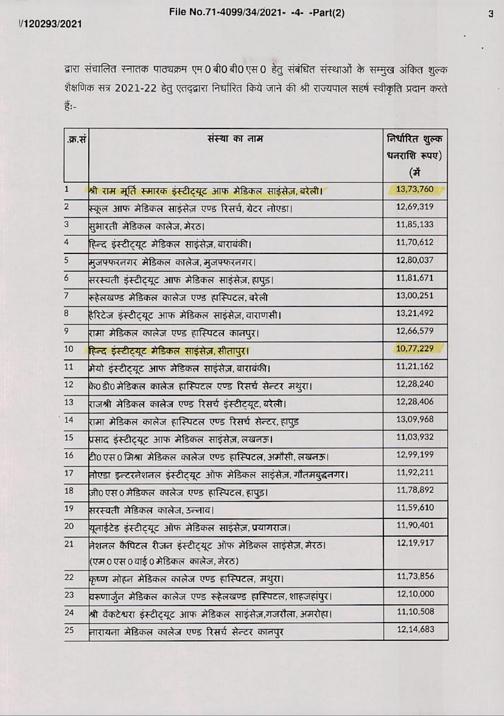द्वारा संचालित स्नातक पाठ्यक्रम एम 0 बी0 बी0 एस 0 हेतु संबंधित संस्थाओं के सम्मुख अंकित शुल्क शैक्षणिक सत्र 2021-22 हेतु एतद्द्वारा निर्धारित किये जाने की श्री राज्यपाल सहर्ष स्वीकृति प्रदान करते हैं:-

| .क्र.सं                 | संस्था का नाम                                                            | निर्धारित शुल्क<br>धनराशि रूपए)<br>(में |
|-------------------------|--------------------------------------------------------------------------|-----------------------------------------|
| $\mathbf{1}$            | श्री राम मूर्ति स्मारक इंस्टीट्यूट आफ मेडिकल साइंसेज़, बरेली।            | 13,73,760                               |
| $\overline{\mathbf{2}}$ | स्कूल आफ मेडिकल साइंसेज़ एण्ड रिसर्च, ग्रेटर नोएडा।                      | 12,69,319                               |
| 3                       | सुभारती मेडिकल कालेज, मेरठ।                                              | 11,85,133                               |
| $\overline{4}$          | हिन्द इंस्टीट्यूट मेडिकल साइंसेज़, बाराबंकी।                             | 11,70,612                               |
| $\overline{5}$          | मजफ्फरनगर मेडिकल कालेज, मुजफ्फरनगर।                                      | 12,80,037                               |
| 6                       | सरस्वती इंस्टीट्यूट आफ मेडिकल साइंसेज़,हापुड़।                           | 11,81,671                               |
| $\overline{7}$          | रूहेलखण्ड मेडिकल कालेज एण्ड हास्पिटल,बरेली                               | 13,00,251                               |
| 8                       | हैरिटेज इंस्टीट्यूट आफ मेडिकल साइंसेज़,वाराणसी।                          | 13,21,492                               |
| 9                       | रामा मेडिकल कालेज एण्ड हास्पिटल कानपुर।                                  | 12,66,579                               |
| $10$                    | हिन्द इंस्टीट्यूट मेडिकल साइंसेज़, सीतापुर।                              | 10,77,229                               |
| 11                      | मेयो इंस्टीट्यूट आफ मेडिकल साइंसेज़, बाराबंकी।                           | 11,21,162                               |
| 12                      | के0डी0मेडिकल कालेज हास्पिटल एण्ड रिसर्च सेन्टर मथुरा।                    | 12,28,240                               |
| 13                      | राजश्री मेडिकल कालेज एण्ड रिसर्च इंस्टीट्यूट बरेली।                      | 12,28,406                               |
| 14                      | रामा मेडिकल कालेज हास्पिटल एण्ड रिसर्च सेन्टर,हापुड                      | 13,09,968                               |
| 15                      | प्रसाद इंस्टीट्यूट आफ मेडिकल साइंसेज़, लखनऊ।                             | 11,03,932                               |
| 16                      | टी0 एस 0 मिश्रा  मेडिकल  कालेज  एण्ड  हास्पिटल, अमौसी, लखनऊ।             | 12,99,199                               |
| 17                      | नोएडा इन्टरनेशनल इंस्टीट्यूट ऑफ मेडिकल साइंसेज़,गौतमबुद्धनगर।            | 11,92,211                               |
| 18                      | जी0 एस 0 मेडिकल  कालेज  एण्ड  हास्पिटल, हापुड़।                          | 11,78,892                               |
| 19                      | सरस्वती मेडिकल कालेज, उन्नाव।                                            | 11,59,610                               |
| 20                      | यूनाईटेड इंस्टीट्यूट ऑफ मेडिकल साइंसेज़,प्रयागराज।                       | 11,90,401                               |
| 21                      | नेशनल कैपिटल रीजन इंस्टीट्यूट ऑफ मेडिकल साइंसेज़,मेरठ।                   | 12,19,917                               |
|                         | (एम 0 एस 0 वाई 0 मेडिकल  कालेज, मेरठ)                                    |                                         |
| 22                      | कृष्ण मोहन मेडिकल कालेज एण्ड हास्पिटल, मथुरा।                            | 11,73,856                               |
| 23                      | 12,10,000<br>वरूणार्जुन मेडिकल कालेज एण्ड रूहेलखण्ड हास्पिटल,शाहजहांपुर। |                                         |
| 24                      | श्री वॅकटेश्वरा इंस्टीट्यूट आफ मेडिकल साइंसेज़,गजरौला,अमरोहा।            | 11,10,508                               |
| 25                      | नारायना मेडिकल कालेज एण्ड रिसर्च सेन्टर कानपुर                           | 12,14,683                               |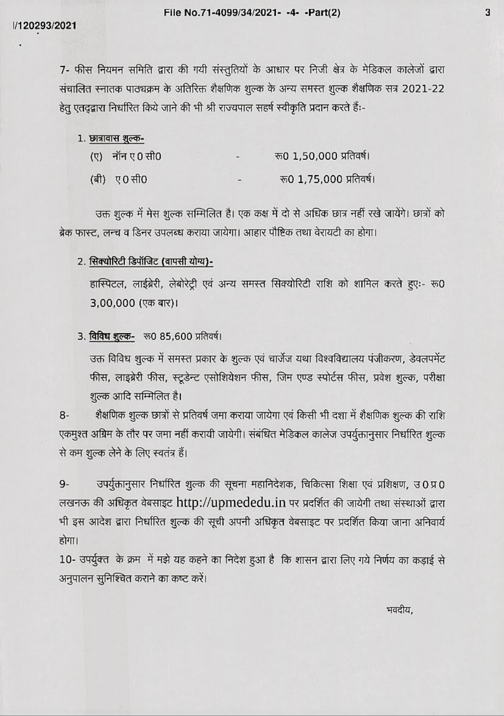7- फीस नियमन समिति द्वारा की गयी संस्तुतियों के आधार पर निजी क्षेत्र के मेडिकल कालेजों द्वारा संचालित स्नातक पाठ्यक्रम के अतिरिक्त शैक्षणिक शुल्क के अन्य समस्त शुल्क शैक्षणिक सत्र 2021-22 हेतु एतद्व्वारा निर्धारित किये जाने की भी श्री राज्यपाल सहर्ष स्वीकृति प्रदान करते हैं:-

| l. छात्रावास शुल्क- |                         |
|---------------------|-------------------------|
| $(0, 7)$ नॉन ए0 सी0 | रू0 1,50,000 प्रतिवर्ष। |
| (बी) ए0 सी0         | रू0 1,75,000 प्रतिवर्ष  |

उक्त शुल्क में मेस शुल्क सम्मिलित है। एक कक्ष में दो से अधिक छात्र नहीं रखे जायेंगे। छात्रों को ब्रेक फास्ट, लन्च व डिनर उपलब्ध कराया जायेगा। आहार पौष्टिक तथा वेरायटी का होगा।

## 2. सिक्योरिटी डिपॉजिट (वापसी योग्य)-

हास्पिटल, लाईब्रेरी, लेबोरेट्री एवं अन्य समस्त सिक्योरिटी राशि को शामिल करते हुएः- रू0 3,00,000 (एक बार)।

## 3. विविध शुल्क- रू0 85,600 प्रतिवर्ष।

उक्त विविध शुल्क में समस्त प्रकार के शुल्क एवं चार्जेज यथा विश्वविद्यालय पंजीकरण, डेवलपमेंट फीस, लाइब्रेरी फीस, स्टूडेन्ट एसोशियेशन फीस, जिम एण्ड स्पोर्टस फीस, प्रवेश शुल्क, परीक्षा शुल्क आदि सम्मिलित है।

शैक्षणिक शुल्क छात्रों से प्रतिवर्ष जमा कराया जायेगा एवं किसी भी दशा में शैक्षणिक शुल्क की राशि  $8-$ एकमुश्त अग्रिम के तौर पर जमा नहीं करायी जायेगी। संबंधित मेडिकल कालेज उपर्युक्तानुसार निर्धारित शुल्क से कम शुल्क लेने के लिए स्वतंत्र हैं।

उपर्युक्तानुसार निर्धारित शुल्क की सूचना महानिदेशक, चिकित्सा शिक्षा एवं प्रशिक्षण, उ0प्र0  $9-$ लखनऊ की अधिकृत वेबसाइट http://upmededu.in पर प्रदर्शित की जायेगी तथा संस्थाओं द्वारा भी इस आदेश द्वारा निर्धारित शुल्क की सूची अपनी अधिकृत वेबसाइट पर प्रदर्शित किया जाना अनिवार्य होगा।

10- उपर्युक्त के क्रम में मझे यह कहने का निदेश हुआ है कि शासन द्वारा लिए गये निर्णय का कड़ाई से अनुपालन सुनिश्चित कराने का कष्ट करें।

भवदीय.